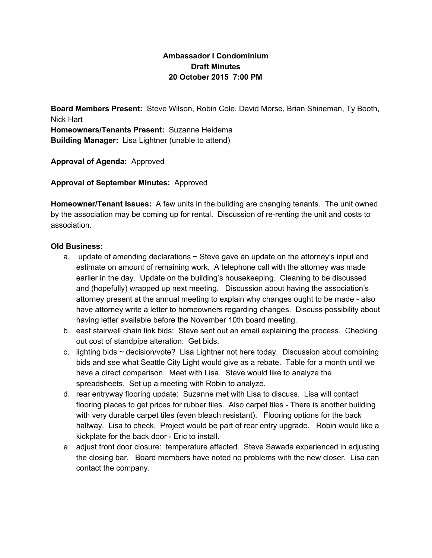## **Ambassador I Condominium Draft Minutes 20 October 2015 7:00 PM**

**Board Members Present:** Steve Wilson, Robin Cole, David Morse, Brian Shineman, Ty Booth, Nick Hart **Homeowners/Tenants Present:** Suzanne Heidema **Building Manager:** Lisa Lightner (unable to attend)

**Approval of Agenda:**Approved

**Approval of September MInutes:**Approved

**Homeowner/Tenant Issues:** A few units in the building are changing tenants. The unit owned by the association may be coming up for rental. Discussion of re-renting the unit and costs to association.

## **Old Business:**

- a. update of amending declarations  $\sim$  Steve gave an update on the attorney's input and estimate on amount of remaining work. A telephone call with the attorney was made earlier in the day. Update on the building's housekeeping. Cleaning to be discussed and (hopefully) wrapped up next meeting. Discussion about having the association's attorney present at the annual meeting to explain why changes ought to be made - also have attorney write a letter to homeowners regarding changes. Discuss possibility about having letter available before the November 10th board meeting.
- b. east stairwell chain link bids: Steve sent out an email explaining the process. Checking out cost of standpipe alteration: Get bids.
- c. lighting bids ~ decision/vote? Lisa Lightner not here today. Discussion about combining bids and see what Seattle City Light would give as a rebate. Table for a month until we have a direct comparison. Meet with Lisa. Steve would like to analyze the spreadsheets. Set up a meeting with Robin to analyze.
- d. rear entryway flooring update: Suzanne met with Lisa to discuss. Lisa will contact flooring places to get prices for rubber tiles. Also carpet tiles - There is another building with very durable carpet tiles (even bleach resistant). Flooring options for the back hallway. Lisa to check. Project would be part of rear entry upgrade. Robin would like a kickplate for the back door - Eric to install.
- e. adjust front door closure: temperature affected. Steve Sawada experienced in adjusting the closing bar. Board members have noted no problems with the new closer. Lisa can contact the company.